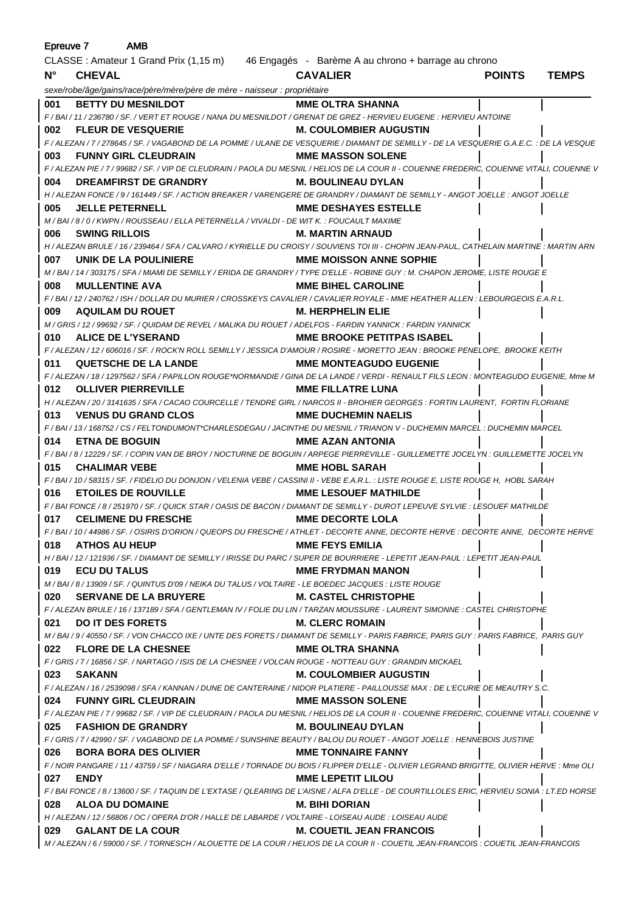|                                                                           | <b>AMB</b><br>Epreuve 7                                                                                                                                                                |                                   |               |              |
|---------------------------------------------------------------------------|----------------------------------------------------------------------------------------------------------------------------------------------------------------------------------------|-----------------------------------|---------------|--------------|
|                                                                           | CLASSE : Amateur 1 Grand Prix (1,15 m) 46 Engagés - Barème A au chrono + barrage au chrono                                                                                             |                                   |               |              |
| $N^{\circ}$                                                               | <b>CHEVAL</b>                                                                                                                                                                          | <b>CAVALIER</b>                   | <b>POINTS</b> | <b>TEMPS</b> |
| sexe/robe/âge/gains/race/père/mère/père de mère - naisseur : propriétaire |                                                                                                                                                                                        |                                   |               |              |
| 001                                                                       | <b>BETTY DU MESNILDOT</b>                                                                                                                                                              | <b>MME OLTRA SHANNA</b>           |               |              |
|                                                                           | F / BAI / 11 / 236780 / SF. / VERT ET ROUGE / NANA DU MESNILDOT / GRENAT DE GREZ - HERVIEU EUGENE : HERVIEU ANTOINE                                                                    |                                   |               |              |
| 002                                                                       | <b>FLEUR DE VESQUERIE</b>                                                                                                                                                              | <b>M. COULOMBIER AUGUSTIN</b>     |               |              |
|                                                                           | F / ALEZAN / 7 / 278645 / SF. / VAGABOND DE LA POMME / ULANE DE VESQUERIE / DIAMANT DE SEMILLY - DE LA VESQUERIE G.A.E.C. : DE LA VESQUE                                               |                                   |               |              |
| 003                                                                       | <b>FUNNY GIRL CLEUDRAIN</b>                                                                                                                                                            | <b>MME MASSON SOLENE</b>          |               |              |
| 004                                                                       | F / ALEZAN PIE / 7 / 99682 / SF. / VIP DE CLEUDRAIN / PAOLA DU MESNIL / HELIOS DE LA COUR II - COUENNE FREDERIC, COUENNE VITALI, COUENNE V<br><b>DREAMFIRST DE GRANDRY</b>             | <b>M. BOULINEAU DYLAN</b>         |               |              |
|                                                                           | H / ALEZAN FONCE / 9 / 161449 / SF. / ACTION BREAKER / VARENGERE DE GRANDRY / DIAMANT DE SEMILLY - ANGOT JOELLE : ANGOT JOELLE                                                         |                                   |               |              |
| 005                                                                       | <b>JELLE PETERNELL</b>                                                                                                                                                                 | <b>MME DESHAYES ESTELLE</b>       |               |              |
|                                                                           | M / BAI / 8 / 0 / KWPN / ROUSSEAU / ELLA PETERNELLA / VIVALDI - DE WIT K. : FOUCAULT MAXIME                                                                                            |                                   |               |              |
| 006                                                                       | <b>SWING RILLOIS</b>                                                                                                                                                                   | <b>M. MARTIN ARNAUD</b>           |               |              |
|                                                                           | H / ALEZAN BRULE / 16 / 239464 / SFA / CALVARO / KYRIELLE DU CROISY / SOUVIENS TOI III - CHOPIN JEAN-PAUL. CATHELAIN MARTINE : MARTIN ARN                                              |                                   |               |              |
| 007                                                                       | UNIK DE LA POULINIERE                                                                                                                                                                  | <b>MME MOISSON ANNE SOPHIE</b>    |               |              |
|                                                                           | M/BAI/14/303175/SFA/MIAMI DE SEMILLY/ERIDA DE GRANDRY/TYPE D'ELLE - ROBINE GUY : M. CHAPON JEROME. LISTE ROUGE E                                                                       |                                   |               |              |
| 008                                                                       | <b>MULLENTINE AVA</b>                                                                                                                                                                  | <b>MME BIHEL CAROLINE</b>         |               |              |
|                                                                           | F / BAI / 12 / 240762 / ISH / DOLLAR DU MURIER / CROSSKEYS CAVALIER / CAVALIER ROYALE - MME HEATHER ALLEN : LEBOURGEOIS E.A.R.L.                                                       |                                   |               |              |
| 009                                                                       | <b>AQUILAM DU ROUET</b>                                                                                                                                                                | <b>M. HERPHELIN ELIE</b>          |               |              |
|                                                                           | M / GRIS / 12 / 99692 / SF. / QUIDAM DE REVEL / MALIKA DU ROUET / ADELFOS - FARDIN YANNICK : FARDIN YANNICK                                                                            |                                   |               |              |
| 010                                                                       | <b>ALICE DE L'YSERAND</b>                                                                                                                                                              | <b>MME BROOKE PETITPAS ISABEL</b> |               |              |
|                                                                           | F / ALEZAN / 12 / 606016 / SF. / ROCK'N ROLL SEMILLY / JESSICA D'AMOUR / ROSIRE - MORETTO JEAN : BROOKE PENELOPE, BROOKE KEITH                                                         |                                   |               |              |
| 011                                                                       | <b>QUETSCHE DE LA LANDE</b>                                                                                                                                                            | <b>MME MONTEAGUDO EUGENIE</b>     |               |              |
|                                                                           | F / ALEZAN / 18 / 1297562 / SFA / PAPILLON ROUGE*NORMANDIE / GINA DE LA LANDE / VERDI - RENAULT FILS LEON : MONTEAGUDO EUGENIE, Mme M                                                  |                                   |               |              |
| 012                                                                       | <b>OLLIVER PIERREVILLE</b>                                                                                                                                                             | <b>MME FILLATRE LUNA</b>          |               |              |
|                                                                           | H / ALEZAN / 20 / 3141635 / SFA / CACAO COURCELLE / TENDRE GIRL / NARCOS II - BROHIER GEORGES : FORTIN LAURENT, FORTIN FLORIANE                                                        |                                   |               |              |
| 013                                                                       | <b>VENUS DU GRAND CLOS</b>                                                                                                                                                             | <b>MME DUCHEMIN NAELIS</b>        |               |              |
|                                                                           | F / BAI / 13 / 168752 / CS / FELTONDUMONT*CHARLESDEGAU / JACINTHE DU MESNIL / TRIANON V - DUCHEMIN MARCEL : DUCHEMIN MARCEL                                                            |                                   |               |              |
| 014                                                                       | <b>ETNA DE BOGUIN</b>                                                                                                                                                                  | <b>MME AZAN ANTONIA</b>           |               |              |
|                                                                           | F / BAI / 8 / 12229 / SF. / COPIN VAN DE BROY / NOCTURNE DE BOGUIN / ARPEGE PIERREVILLE - GUILLEMETTE JOCELYN : GUILLEMETTE JOCELYN                                                    |                                   |               |              |
| 015                                                                       | <b>CHALIMAR VEBE</b>                                                                                                                                                                   | <b>MME HOBL SARAH</b>             |               |              |
|                                                                           | F / BAI / 10 / 58315 / SF. / FIDELIO DU DONJON / VELENIA VEBE / CASSINI II - VEBE E.A.R.L. : LISTE ROUGE E, LISTE ROUGE H, HOBL SARAH                                                  |                                   |               |              |
| 016                                                                       | <b>ETOILES DE ROUVILLE</b>                                                                                                                                                             | <b>MME LESOUEF MATHILDE</b>       |               |              |
|                                                                           | F / BAI FONCE / 8 / 251970 / SF. / QUICK STAR / OASIS DE BACON / DIAMANT DE SEMILLY - DUROT LEPEUVE SYLVIE : LESOUEF MATHILDE                                                          |                                   |               |              |
|                                                                           | 017 CELIMENE DU FRESCHE                                                                                                                                                                | <b>MME DECORTE LOLA</b>           |               |              |
|                                                                           | F/BAI/10/44986/SF./OSIRIS D'ORION/QUEOPS DU FRESCHE/ATHLET - DECORTE ANNE, DECORTE HERVE : DECORTE ANNE, DECORTE HERVE                                                                 |                                   |               |              |
|                                                                           | 018 ATHOS AU HEUP                                                                                                                                                                      | <b>MME FEYS EMILIA</b>            |               |              |
|                                                                           | H / BAI / 12 / 121936 / SF. / DIAMANT DE SEMILLY / IRISSE DU PARC / SUPER DE BOURRIERE - LEPETIT JEAN-PAUL : LEPETIT JEAN-PAUL                                                         |                                   |               |              |
|                                                                           | 019 ECU DU TALUS                                                                                                                                                                       | <b>MME FRYDMAN MANON</b>          |               |              |
|                                                                           | M / BAI / 8 / 13909 / SF. / QUINTUS D'09 / NEIKA DU TALUS / VOLTAIRE - LE BOEDEC JACQUES : LISTE ROUGE                                                                                 |                                   |               |              |
|                                                                           | 020 SERVANE DE LA BRUYERE                                                                                                                                                              | <b>M. CASTEL CHRISTOPHE</b>       |               |              |
|                                                                           | F / ALEZAN BRULE / 16 / 137189 / SFA / GENTLEMAN IV / FOLIE DU LIN / TARZAN MOUSSURE - LAURENT SIMONNE : CASTEL CHRISTOPHE                                                             |                                   |               |              |
|                                                                           | 021 DO IT DES FORETS                                                                                                                                                                   | <b>M. CLERC ROMAIN</b>            |               |              |
|                                                                           | M / BAI / 9 / 40550 / SF. / VON CHACCO IXE / UNTE DES FORETS / DIAMANT DE SEMILLY - PARIS FABRICE, PARIS GUY : PARIS FABRICE, PARIS GUY                                                |                                   |               |              |
|                                                                           | 022 FLORE DE LA CHESNEE                                                                                                                                                                | <b>MME OLTRA SHANNA</b>           |               |              |
|                                                                           | F / GRIS / 7 / 16856 / SF. / NARTAGO / ISIS DE LA CHESNEE / VOLCAN ROUGE - NOTTEAU GUY : GRANDIN MICKAEL                                                                               |                                   |               |              |
|                                                                           | 023 SAKANN                                                                                                                                                                             | <b>M. COULOMBIER AUGUSTIN</b>     |               |              |
|                                                                           | F / ALEZAN / 16 / 2539098 / SFA / KANNAN / DUNE DE CANTERAINE / NIDOR PLATIERE - PAILLOUSSE MAX : DE L'ECURIE DE MEAUTRY S.C.                                                          |                                   |               |              |
|                                                                           | 024 FUNNY GIRL CLEUDRAIN                                                                                                                                                               | MME MASSON SOLENE                 |               |              |
|                                                                           | F / ALEZAN PIE / 7 / 99682 / SF. / VIP DE CLEUDRAIN / PAOLA DU MESNIL / HELIOS DE LA COUR II - COUENNE FREDERIC, COUENNE WITALI, COUENNE V                                             |                                   |               |              |
|                                                                           | 025 FASHION DE GRANDRY M. BOULINEAU DYLAN                                                                                                                                              |                                   |               |              |
|                                                                           | F / GRIS / 7 / 42990 / SF. / VAGABOND DE LA POMME / SUNSHINE BEAUTY / BALOU DU ROUET - ANGOT JOELLE : HENNEBOIS JUSTINE                                                                |                                   |               |              |
|                                                                           | 026 BORA BORA DES OLIVIER MME TONNAIRE FANNY                                                                                                                                           |                                   |               |              |
|                                                                           | F / NOIR PANGARE / 11 / 43759 / SF / NIAGARA D'ELLE / TORNADE DU BOIS / FLIPPER D'ELLE - OLIVIER LEGRAND BRIGITTE, OLIVIER HERVE : Mme OLI                                             |                                   |               |              |
|                                                                           | 027 ENDY                                                                                                                                                                               | MME LEPETIT LILOU                 |               |              |
|                                                                           | F / BAI FONCE / 8 / 13600 / SF. / TAQUIN DE L'EXTASE / QLEARING DE L'AISNE / ALFA D'ELLE - DE COURTILLOLES ERIC, HERVIEU SONIA : LT.ED HORSE                                           |                                   |               |              |
|                                                                           | 028 ALOA DU DOMAINE                                                                                                                                                                    | M. BIHI DORIAN                    |               |              |
|                                                                           | H / ALEZAN / 12 / 56806 / OC / OPERA D'OR / HALLE DE LABARDE / VOLTAIRE - LOISEAU AUDE : LOISEAU AUDE                                                                                  |                                   |               |              |
|                                                                           | 029 GALANT DE LA COUR M. COUETIL JEAN FRANCOIS<br>M / ALEZAN / 6 / 59000 / SF. / TORNESCH / ALOUETTE DE LA COUR / HELIOS DE LA COUR II - COUETIL JEAN-FRANCOIS : COUETIL JEAN-FRANCOIS |                                   |               |              |
|                                                                           |                                                                                                                                                                                        |                                   |               |              |